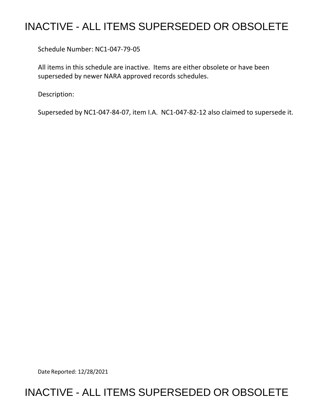## INACTIVE - ALL ITEMS SUPERSEDED OR OBSOLETE

Schedule Number: NC1-047-79-05

 All items in this schedule are inactive. Items are either obsolete or have been superseded by newer NARA approved records schedules.

Description:

Superseded by NC1-047-84-07, item I.A. NC1-047-82-12 also claimed to supersede it.

Date Reported: 12/28/2021

## INACTIVE - ALL ITEMS SUPERSEDED OR OBSOLETE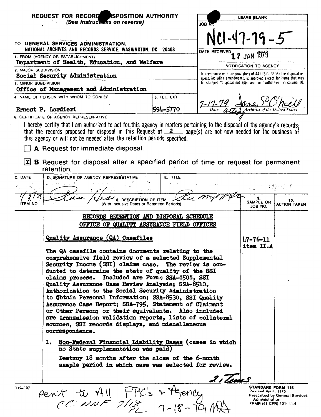| REQUEST FOR RECORD ISPOSITION AUTHORITY                |                                                                                                                                                                                                                                                                                                                                                                                                                                                                                                                                                                                                                                                                                                                                                                                                                                                                                                                           |          | LEAVE BLANK                                                                                                                                 |                                                                                                    |                                       |
|--------------------------------------------------------|---------------------------------------------------------------------------------------------------------------------------------------------------------------------------------------------------------------------------------------------------------------------------------------------------------------------------------------------------------------------------------------------------------------------------------------------------------------------------------------------------------------------------------------------------------------------------------------------------------------------------------------------------------------------------------------------------------------------------------------------------------------------------------------------------------------------------------------------------------------------------------------------------------------------------|----------|---------------------------------------------------------------------------------------------------------------------------------------------|----------------------------------------------------------------------------------------------------|---------------------------------------|
|                                                        | (See Instructions on reverse)                                                                                                                                                                                                                                                                                                                                                                                                                                                                                                                                                                                                                                                                                                                                                                                                                                                                                             |          | JOB M                                                                                                                                       |                                                                                                    |                                       |
|                                                        |                                                                                                                                                                                                                                                                                                                                                                                                                                                                                                                                                                                                                                                                                                                                                                                                                                                                                                                           |          |                                                                                                                                             | $10 - 47 - 79 - 5$                                                                                 |                                       |
|                                                        | TO: GENERAL SERVICES ADMINISTRATION,<br>NATIONAL ARCHIVES AND RECORDS SERVICE, WASHINGTON, DC 20408                                                                                                                                                                                                                                                                                                                                                                                                                                                                                                                                                                                                                                                                                                                                                                                                                       |          |                                                                                                                                             |                                                                                                    |                                       |
| 1. FROM (AGENCY OR ESTABLISHMENT)                      |                                                                                                                                                                                                                                                                                                                                                                                                                                                                                                                                                                                                                                                                                                                                                                                                                                                                                                                           |          | DATE RECEIVED<br>17 JAN 1979                                                                                                                |                                                                                                    |                                       |
| Department of Health, Education, and Welfare           |                                                                                                                                                                                                                                                                                                                                                                                                                                                                                                                                                                                                                                                                                                                                                                                                                                                                                                                           |          | NOTIFICATION TO AGENCY                                                                                                                      |                                                                                                    |                                       |
| 2. MAJOR SUBDIVISION<br>Social Security Administration |                                                                                                                                                                                                                                                                                                                                                                                                                                                                                                                                                                                                                                                                                                                                                                                                                                                                                                                           |          | In accordance with the provisions of 44 U.S.C. 3303a the disposal re-<br>quest, including amendments, is approved except for items that may |                                                                                                    |                                       |
| 3. MINOR SUBDIVISION                                   | Office of Management and Administration                                                                                                                                                                                                                                                                                                                                                                                                                                                                                                                                                                                                                                                                                                                                                                                                                                                                                   |          | be stamped "disposal not approved" or "withdrawn" in column 10.                                                                             |                                                                                                    |                                       |
| 5. TEL. EXT.<br>4. NAME OF PERSON WITH WHOM TO CONFER  |                                                                                                                                                                                                                                                                                                                                                                                                                                                                                                                                                                                                                                                                                                                                                                                                                                                                                                                           |          |                                                                                                                                             |                                                                                                    |                                       |
|                                                        | Ernest P. Lardieri                                                                                                                                                                                                                                                                                                                                                                                                                                                                                                                                                                                                                                                                                                                                                                                                                                                                                                        | 594-5770 | $7 - 17 - 74$                                                                                                                               |                                                                                                    |                                       |
|                                                        | 6. CERTIFICATE OF AGENCY REPRESENTATIVE:                                                                                                                                                                                                                                                                                                                                                                                                                                                                                                                                                                                                                                                                                                                                                                                                                                                                                  |          |                                                                                                                                             |                                                                                                    |                                       |
| $ \mathbf{x} $                                         | I hereby certify that I am authorized to act for this agency in matters pertaining to the disposal of the agency's records;<br>that the records proposed for disposal in this Request of $2$ page(s) are not now needed for the business of<br>this agency or will not be needed after the retention periods specified.<br>A Request for immediate disposal.<br><b>B</b> Request for disposal after a specified period of time or request for permanent<br>retention.                                                                                                                                                                                                                                                                                                                                                                                                                                                     |          |                                                                                                                                             |                                                                                                    |                                       |
| C. DATE                                                | D. SIGNATURE OF AGENCY REPRESENTATIVE                                                                                                                                                                                                                                                                                                                                                                                                                                                                                                                                                                                                                                                                                                                                                                                                                                                                                     | E. TITLE |                                                                                                                                             |                                                                                                    |                                       |
| У                                                      |                                                                                                                                                                                                                                                                                                                                                                                                                                                                                                                                                                                                                                                                                                                                                                                                                                                                                                                           |          |                                                                                                                                             |                                                                                                    |                                       |
| ITEM NO.                                               | <b>DESCRIPTION OF ITEM</b><br>(With Inclusive Dates or Retention Periods)                                                                                                                                                                                                                                                                                                                                                                                                                                                                                                                                                                                                                                                                                                                                                                                                                                                 |          |                                                                                                                                             | 9.<br>SAMPLE OR<br>JOB NO.                                                                         | 10.<br><b>ACTION TAKEN</b>            |
|                                                        | RECORDS RETENTION AND DISPOSAL SCHEDULE                                                                                                                                                                                                                                                                                                                                                                                                                                                                                                                                                                                                                                                                                                                                                                                                                                                                                   |          |                                                                                                                                             |                                                                                                    |                                       |
|                                                        | OFFICE OF QUALITY ASSURANCE FIELD OFFICES                                                                                                                                                                                                                                                                                                                                                                                                                                                                                                                                                                                                                                                                                                                                                                                                                                                                                 |          |                                                                                                                                             |                                                                                                    |                                       |
|                                                        | Quality Assurance (QA) Casefiles                                                                                                                                                                                                                                                                                                                                                                                                                                                                                                                                                                                                                                                                                                                                                                                                                                                                                          |          |                                                                                                                                             |                                                                                                    |                                       |
|                                                        | The QA casefile contains documents relating to the<br>comprehensive field review of a selected Supplemental<br>Security Income (SSI) claims case. The review is con-<br>ducted to determine the state of quality of the SSI<br>claims process. Included are Forms SSA-8508, SSI<br>Quality Assurance Case Review Analysis; SSA-8510,<br>Authorization to the Social Security Administration<br>to Obtain Personal Information; SSA-8530, SSI Quality<br>Assurance Case Report; SSA-795, Statement of Claimant<br>or Other Person; or their equivalents. Also included<br>are transmission validation reports, lists of collateral<br>sources, SSI records displays, and miscellaneous<br>correspondence.<br>Non-Federal Financial Liability Cases (cases in which<br>1.<br>no State supplementation was paid)<br>Destroy 18 months after the close of the 6-month<br>sample period in which case was selected for review. |          |                                                                                                                                             | item II.A                                                                                          |                                       |
|                                                        |                                                                                                                                                                                                                                                                                                                                                                                                                                                                                                                                                                                                                                                                                                                                                                                                                                                                                                                           |          | 2, Tenes                                                                                                                                    |                                                                                                    |                                       |
| $115 - 107$                                            | Pent to All FPC's + Agency                                                                                                                                                                                                                                                                                                                                                                                                                                                                                                                                                                                                                                                                                                                                                                                                                                                                                                |          |                                                                                                                                             | <b>STANDARD FORM 115</b><br>Revised April, 1975<br><b>Administration</b><br>FPMR (41 CFR) 101-11.4 | <b>Prescribed by General Services</b> |